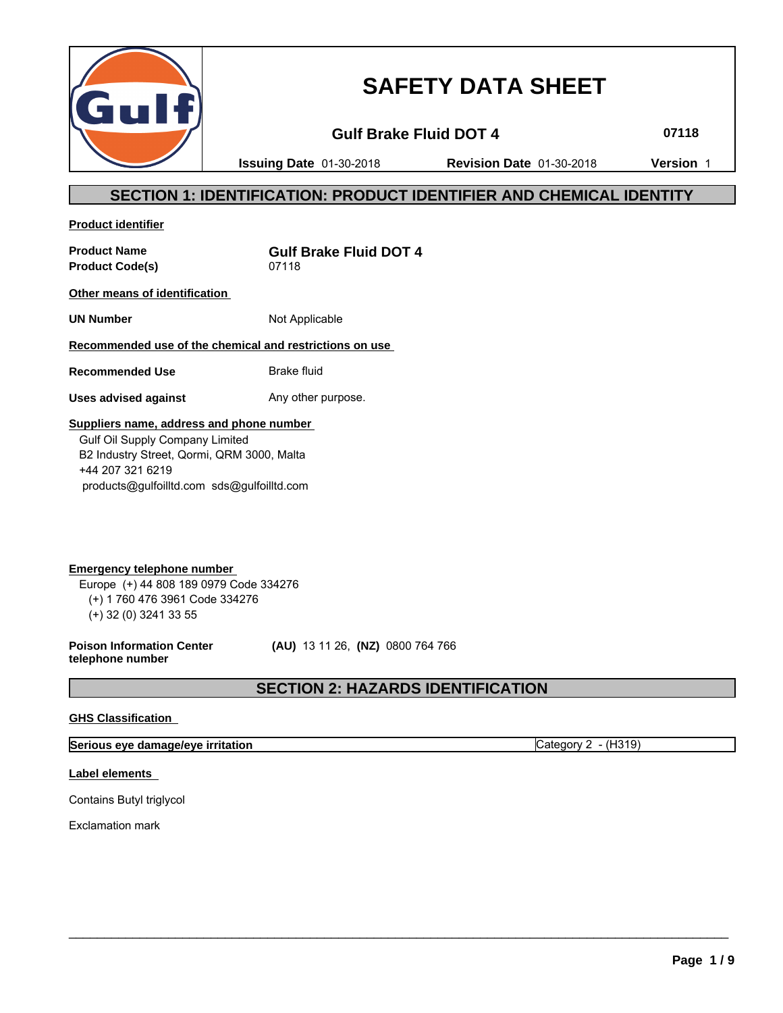

# **SAFETY DATA SHEET**

**Gulf Brake Fluid DOT 4 07118**

**Issuing Date** 01-30-2018 **Revision Date** 01-30-2018 **Version** 1

### **SECTION 1: IDENTIFICATION: PRODUCT IDENTIFIER AND CHEMICAL IDENTITY**

**Product identifier**

Product Code(s) 07118

**Product Name Gulf Brake Fluid DOT 4**

**Other means of identification** 

**UN Number** Not Applicable

### **Recommended use of the chemical and restrictions on use**

**Recommended Use** Brake fluid

**Uses advised against** Any other purpose.

### **Suppliers name, address and phone number**

 Gulf Oil Supply Company Limited B2 Industry Street, Qormi, QRM 3000, Malta +44 207 321 6219 products@gulfoilltd.com sds@gulfoilltd.com

**Emergency telephone number**  Europe (+) 44 808 189 0979 Code 334276 (+) 1 760 476 3961 Code 334276 (+) 32 (0) 3241 33 55

**Poison Information Center telephone number**

 **(AU)** 13 11 26, **(NZ)** 0800 764 766

### **SECTION 2: HAZARDS IDENTIFICATION**

 $\_$  ,  $\_$  ,  $\_$  ,  $\_$  ,  $\_$  ,  $\_$  ,  $\_$  ,  $\_$  ,  $\_$  ,  $\_$  ,  $\_$  ,  $\_$  ,  $\_$  ,  $\_$  ,  $\_$  ,  $\_$  ,  $\_$  ,  $\_$  ,  $\_$  ,  $\_$  ,  $\_$  ,  $\_$  ,  $\_$  ,  $\_$  ,  $\_$  ,  $\_$  ,  $\_$  ,  $\_$  ,  $\_$  ,  $\_$  ,  $\_$  ,  $\_$  ,  $\_$  ,  $\_$  ,  $\_$  ,  $\_$  ,  $\_$  ,

### **GHS Classification**

**Serious eye damage/eye irritation** Category 2 - (H319)

### **Label elements**

Contains Butyl triglycol

Exclamation mark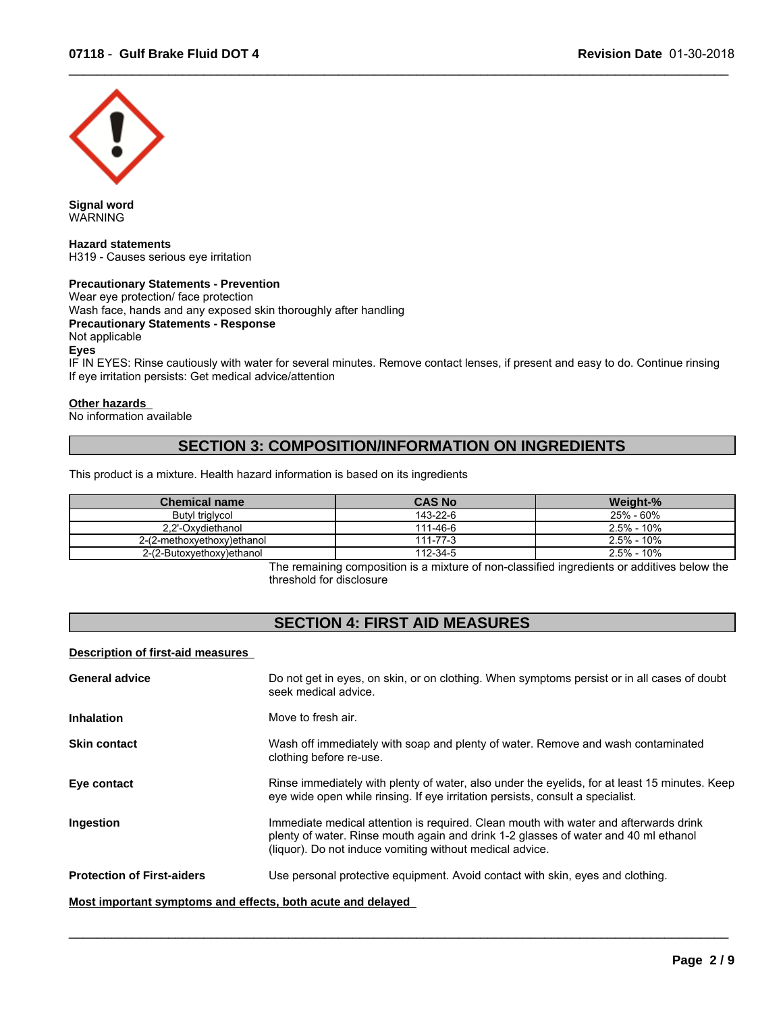

**Signal word** WARNING

**Hazard statements** H319 - Causes serious eye irritation

### **Precautionary Statements - Prevention**

Wear eye protection/ face protection Wash face, hands and any exposed skin thoroughly after handling **Precautionary Statements - Response** Not applicable **Eyes** IF IN EYES: Rinse cautiously with water for several minutes. Remove contact lenses, if present and easy to do. Continue rinsing If eye irritation persists: Get medical advice/attention

### **Other hazards**

No information available

### **SECTION 3: COMPOSITION/INFORMATION ON INGREDIENTS**

This product is a mixture. Health hazard information is based on its ingredients

| Chemical name              | <b>CAS No</b> | Weight-%       |
|----------------------------|---------------|----------------|
| Butyl triglycol            | 143-22-6      | 25% - 60%      |
| 2.2'-Oxydiethanol          | 111-46-6      | $2.5\% - 10\%$ |
| 2-(2-methoxyethoxy)ethanol | 111-77-3      | $2.5\% - 10\%$ |
| 2-(2-Butoxyethoxy)ethanol  | 112-34-5      | $2.5\% - 10\%$ |

The remaining composition is a mixture of non-classified ingredients or additives below the threshold for disclosure

 $\_$  ,  $\_$  ,  $\_$  ,  $\_$  ,  $\_$  ,  $\_$  ,  $\_$  ,  $\_$  ,  $\_$  ,  $\_$  ,  $\_$  ,  $\_$  ,  $\_$  ,  $\_$  ,  $\_$  ,  $\_$  ,  $\_$  ,  $\_$  ,  $\_$  ,  $\_$  ,  $\_$  ,  $\_$  ,  $\_$  ,  $\_$  ,  $\_$  ,  $\_$  ,  $\_$  ,  $\_$  ,  $\_$  ,  $\_$  ,  $\_$  ,  $\_$  ,  $\_$  ,  $\_$  ,  $\_$  ,  $\_$  ,  $\_$  ,

### **SECTION 4: FIRST AID MEASURES**

**Description of first-aid measures** 

| <b>General advice</b>                                       | Do not get in eyes, on skin, or on clothing. When symptoms persist or in all cases of doubt<br>seek medical advice.                                                                                                                     |
|-------------------------------------------------------------|-----------------------------------------------------------------------------------------------------------------------------------------------------------------------------------------------------------------------------------------|
| <b>Inhalation</b>                                           | Move to fresh air.                                                                                                                                                                                                                      |
| <b>Skin contact</b>                                         | Wash off immediately with soap and plenty of water. Remove and wash contaminated<br>clothing before re-use.                                                                                                                             |
| Eye contact                                                 | Rinse immediately with plenty of water, also under the eyelids, for at least 15 minutes. Keep<br>eye wide open while rinsing. If eye irritation persists, consult a specialist.                                                         |
| Ingestion                                                   | Immediate medical attention is required. Clean mouth with water and afterwards drink<br>plenty of water. Rinse mouth again and drink 1-2 glasses of water and 40 ml ethanol<br>(liquor). Do not induce vomiting without medical advice. |
| <b>Protection of First-aiders</b>                           | Use personal protective equipment. Avoid contact with skin, eyes and clothing.                                                                                                                                                          |
| Most important symptoms and effects, both acute and delayed |                                                                                                                                                                                                                                         |

 $\_$  ,  $\_$  ,  $\_$  ,  $\_$  ,  $\_$  ,  $\_$  ,  $\_$  ,  $\_$  ,  $\_$  ,  $\_$  ,  $\_$  ,  $\_$  ,  $\_$  ,  $\_$  ,  $\_$  ,  $\_$  ,  $\_$  ,  $\_$  ,  $\_$  ,  $\_$  ,  $\_$  ,  $\_$  ,  $\_$  ,  $\_$  ,  $\_$  ,  $\_$  ,  $\_$  ,  $\_$  ,  $\_$  ,  $\_$  ,  $\_$  ,  $\_$  ,  $\_$  ,  $\_$  ,  $\_$  ,  $\_$  ,  $\_$  ,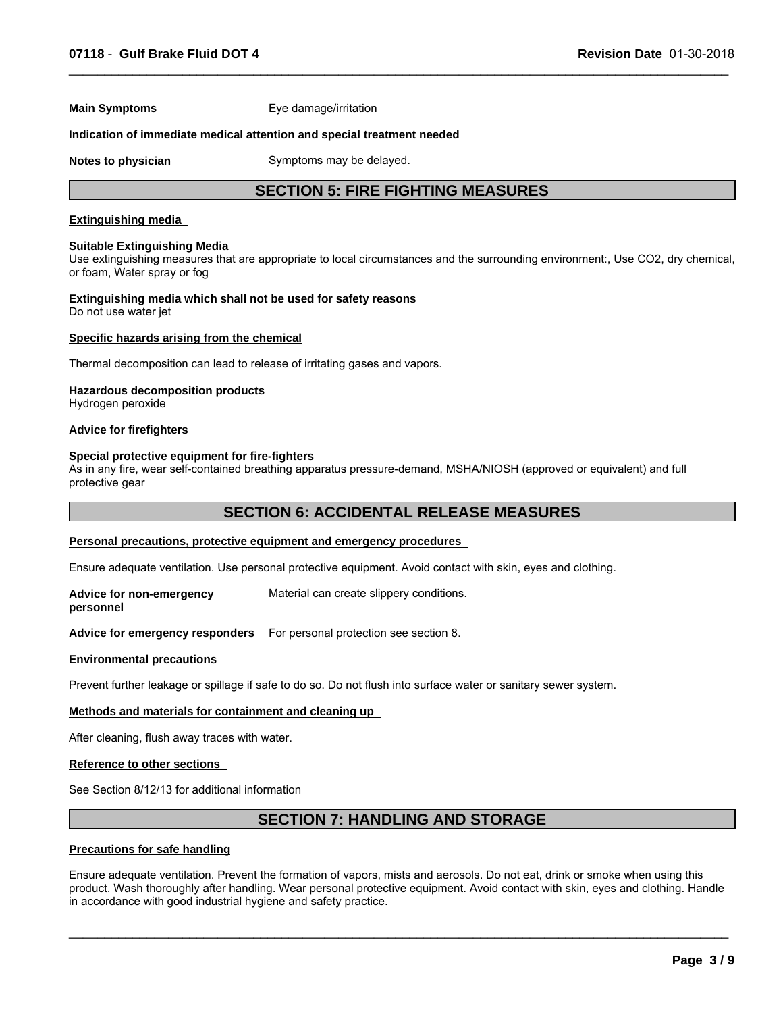**Main Symptoms** Eye damage/irritation

### **Indication of immediate medical attention and special treatment needed**

**Notes to physician** Symptoms may be delayed.

### **SECTION 5: FIRE FIGHTING MEASURES**

 $\_$  ,  $\_$  ,  $\_$  ,  $\_$  ,  $\_$  ,  $\_$  ,  $\_$  ,  $\_$  ,  $\_$  ,  $\_$  ,  $\_$  ,  $\_$  ,  $\_$  ,  $\_$  ,  $\_$  ,  $\_$  ,  $\_$  ,  $\_$  ,  $\_$  ,  $\_$  ,  $\_$  ,  $\_$  ,  $\_$  ,  $\_$  ,  $\_$  ,  $\_$  ,  $\_$  ,  $\_$  ,  $\_$  ,  $\_$  ,  $\_$  ,  $\_$  ,  $\_$  ,  $\_$  ,  $\_$  ,  $\_$  ,  $\_$  ,

### **Extinguishing media**

#### **Suitable Extinguishing Media**

Use extinguishing measures that are appropriate to local circumstances and the surrounding environment:, Use CO2, dry chemical, or foam, Water spray or fog

#### **Extinguishing media which shall not be used for safety reasons** Do not use water jet

### **Specific hazards arising from the chemical**

Thermal decomposition can lead to release of irritating gases and vapors.

### **Hazardous decomposition products**

Hydrogen peroxide

### **Advice for firefighters**

### **Special protective equipment for fire-fighters**

As in any fire, wear self-contained breathing apparatus pressure-demand, MSHA/NIOSH (approved or equivalent) and full protective gear

### **SECTION 6: ACCIDENTAL RELEASE MEASURES**

### **Personal precautions, protective equipment and emergency procedures**

Ensure adequate ventilation. Use personal protective equipment. Avoid contact with skin, eyes and clothing.

**Advice for non-emergency personnel** Material can create slippery conditions.

**Advice for emergency responders** For personal protection see section 8.

#### **Environmental precautions**

Prevent further leakage or spillage if safe to do so. Do not flush into surface water or sanitary sewer system.

### **Methods and materials for containment and cleaning up**

After cleaning, flush away traces with water.

#### **Reference to other sections**

See Section 8/12/13 for additional information

### **SECTION 7: HANDLING AND STORAGE**

### **Precautions for safe handling**

Ensure adequate ventilation. Prevent the formation of vapors, mists and aerosols. Do not eat, drink or smoke when using this product. Wash thoroughly after handling. Wear personal protective equipment. Avoid contact with skin, eyes and clothing. Handle in accordance with good industrial hygiene and safety practice.

 $\_$  ,  $\_$  ,  $\_$  ,  $\_$  ,  $\_$  ,  $\_$  ,  $\_$  ,  $\_$  ,  $\_$  ,  $\_$  ,  $\_$  ,  $\_$  ,  $\_$  ,  $\_$  ,  $\_$  ,  $\_$  ,  $\_$  ,  $\_$  ,  $\_$  ,  $\_$  ,  $\_$  ,  $\_$  ,  $\_$  ,  $\_$  ,  $\_$  ,  $\_$  ,  $\_$  ,  $\_$  ,  $\_$  ,  $\_$  ,  $\_$  ,  $\_$  ,  $\_$  ,  $\_$  ,  $\_$  ,  $\_$  ,  $\_$  ,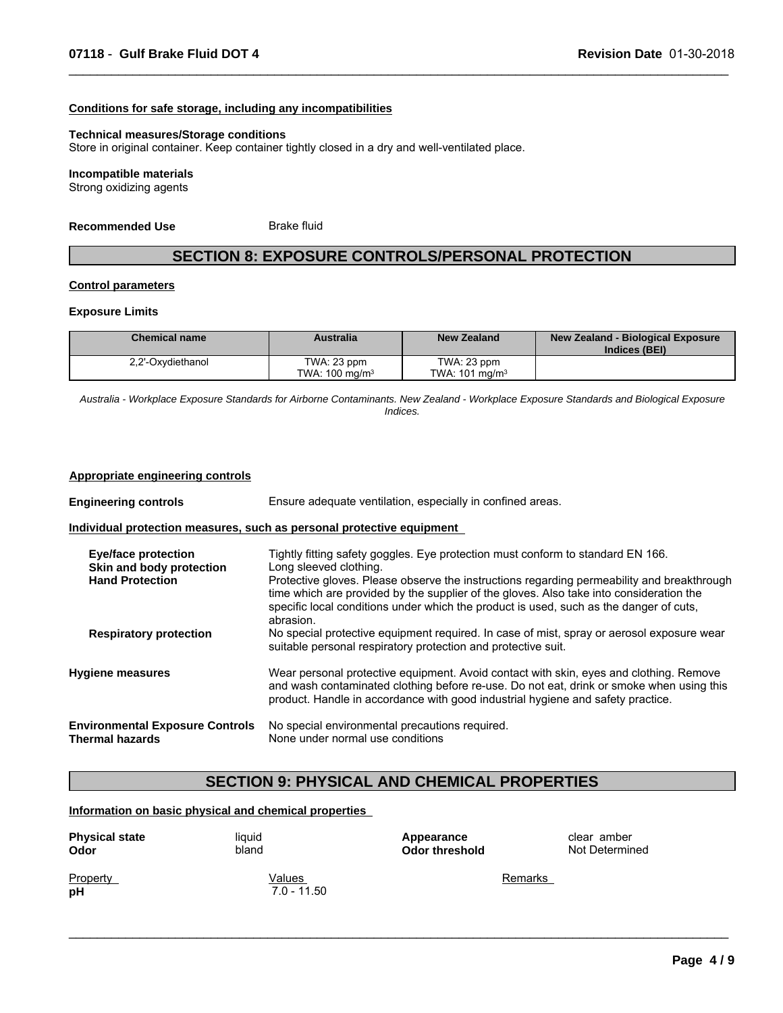### **Conditions for safe storage, including any incompatibilities**

### **Technical measures/Storage conditions**

Store in original container. Keep container tightly closed in a dry and well-ventilated place.

#### **Incompatible materials**

Strong oxidizing agents

**Recommended Use** Brake fluid

### **SECTION 8: EXPOSURE CONTROLS/PERSONAL PROTECTION**

 $\_$  ,  $\_$  ,  $\_$  ,  $\_$  ,  $\_$  ,  $\_$  ,  $\_$  ,  $\_$  ,  $\_$  ,  $\_$  ,  $\_$  ,  $\_$  ,  $\_$  ,  $\_$  ,  $\_$  ,  $\_$  ,  $\_$  ,  $\_$  ,  $\_$  ,  $\_$  ,  $\_$  ,  $\_$  ,  $\_$  ,  $\_$  ,  $\_$  ,  $\_$  ,  $\_$  ,  $\_$  ,  $\_$  ,  $\_$  ,  $\_$  ,  $\_$  ,  $\_$  ,  $\_$  ,  $\_$  ,  $\_$  ,  $\_$  ,

### **Control parameters**

### **Exposure Limits**

| <b>Chemical name</b> | <b>Australia</b>  | <b>New Zealand</b>        | New Zealand - Biological Exposure<br>Indices (BEI) |
|----------------------|-------------------|---------------------------|----------------------------------------------------|
| 2,2'-Oxydiethanol    | TWA: 23 ppm       | TWA: 23 ppm               |                                                    |
|                      | TWA: 100 mg/m $3$ | TWA: $101 \text{ ma/m}^3$ |                                                    |

*Australia - Workplace Exposure Standards for Airborne Contaminants. New Zealand - Workplace Exposure Standards and Biological Exposure Indices.*

#### **Appropriate engineering controls**

| <b>Engineering controls</b>                                                      | Ensure adequate ventilation, especially in confined areas.                                                                                                                                                                                                            |  |
|----------------------------------------------------------------------------------|-----------------------------------------------------------------------------------------------------------------------------------------------------------------------------------------------------------------------------------------------------------------------|--|
|                                                                                  | Individual protection measures, such as personal protective equipment                                                                                                                                                                                                 |  |
| <b>Eye/face protection</b><br>Skin and body protection<br><b>Hand Protection</b> | Tightly fitting safety goggles. Eye protection must conform to standard EN 166.<br>Long sleeved clothing.<br>Protective gloves. Please observe the instructions regarding permeability and breakthrough                                                               |  |
|                                                                                  | time which are provided by the supplier of the gloves. Also take into consideration the<br>specific local conditions under which the product is used, such as the danger of cuts,<br>abrasion.                                                                        |  |
| <b>Respiratory protection</b>                                                    | No special protective equipment required. In case of mist, spray or aerosol exposure wear<br>suitable personal respiratory protection and protective suit.                                                                                                            |  |
| <b>Hygiene measures</b>                                                          | Wear personal protective equipment. Avoid contact with skin, eyes and clothing. Remove<br>and wash contaminated clothing before re-use. Do not eat, drink or smoke when using this<br>product. Handle in accordance with good industrial hygiene and safety practice. |  |
| <b>Environmental Exposure Controls</b><br><b>Thermal hazards</b>                 | No special environmental precautions required.<br>None under normal use conditions                                                                                                                                                                                    |  |

### **SECTION 9: PHYSICAL AND CHEMICAL PROPERTIES**

 $\_$  ,  $\_$  ,  $\_$  ,  $\_$  ,  $\_$  ,  $\_$  ,  $\_$  ,  $\_$  ,  $\_$  ,  $\_$  ,  $\_$  ,  $\_$  ,  $\_$  ,  $\_$  ,  $\_$  ,  $\_$  ,  $\_$  ,  $\_$  ,  $\_$  ,  $\_$  ,  $\_$  ,  $\_$  ,  $\_$  ,  $\_$  ,  $\_$  ,  $\_$  ,  $\_$  ,  $\_$  ,  $\_$  ,  $\_$  ,  $\_$  ,  $\_$  ,  $\_$  ,  $\_$  ,  $\_$  ,  $\_$  ,  $\_$  ,

### **Information on basic physical and chemical properties**

| <b>Physical state</b> | liquid                  | Appearance     | clear amber    |
|-----------------------|-------------------------|----------------|----------------|
| Odor                  | bland                   | Odor threshold | Not Determined |
| Property<br>pH        | Values<br>$7.0 - 11.50$ | Remarks        |                |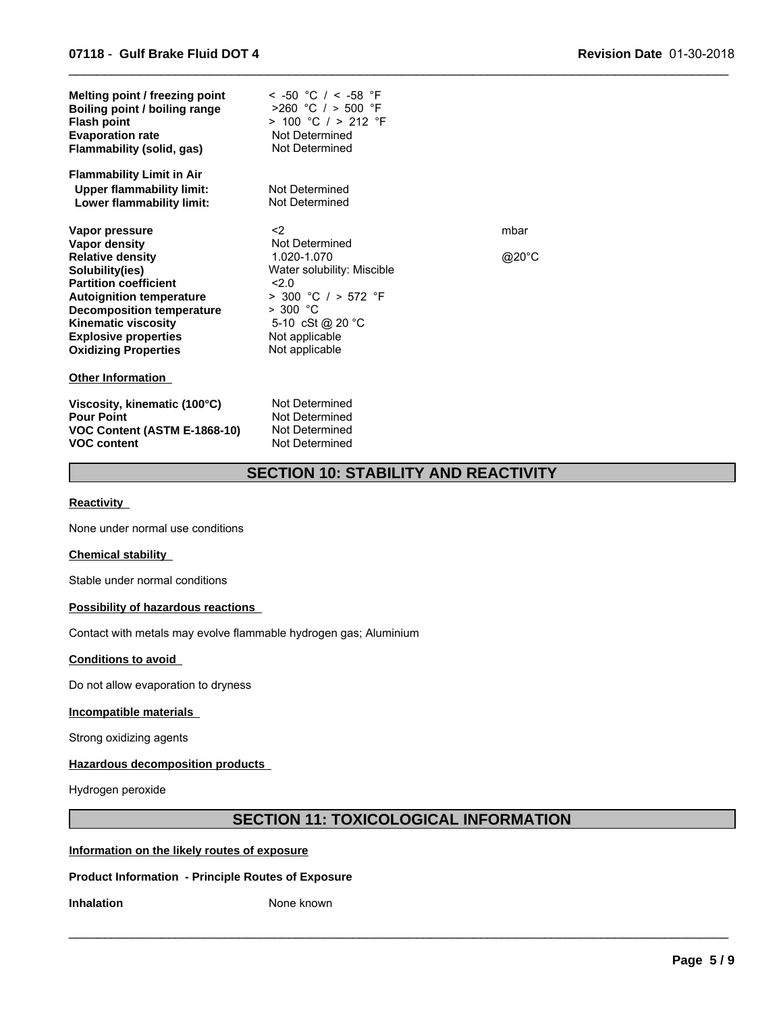| Melting point / freezing point<br>Boiling point / boiling range<br><b>Flash point</b><br><b>Evaporation rate</b><br>Flammability (solid, gas)                                                                                          | < -50 °C / < -58 °F<br>$>260$ °C / > 500 °F<br>$> 100$ °C $/ > 212$ °F<br>Not Determined<br>Not Determined                       |       |
|----------------------------------------------------------------------------------------------------------------------------------------------------------------------------------------------------------------------------------------|----------------------------------------------------------------------------------------------------------------------------------|-------|
| <b>Flammability Limit in Air</b><br><b>Upper flammability limit:</b><br>Lower flammability limit:                                                                                                                                      | Not Determined<br>Not Determined                                                                                                 |       |
| Vapor pressure                                                                                                                                                                                                                         | $<$ 2                                                                                                                            | mbar  |
| Vapor density                                                                                                                                                                                                                          | Not Determined<br>1.020-1.070                                                                                                    |       |
| <b>Relative density</b><br>Solubility(ies)<br><b>Partition coefficient</b><br><b>Autoignition temperature</b><br><b>Decomposition temperature</b><br>Kinematic viscosity<br><b>Explosive properties</b><br><b>Oxidizing Properties</b> | Water solubility: Miscible<br>2.0<br>$>$ 300 °C / $>$ 572 °F<br>> 300 °C<br>5-10 cSt @ 20 °C<br>Not applicable<br>Not applicable | @20°C |
| <b>Other Information</b>                                                                                                                                                                                                               |                                                                                                                                  |       |
| Viscosity, kinematic (100°C)<br><b>Pour Point</b><br>VOC Content (ASTM E-1868-10)<br><b>VOC content</b>                                                                                                                                | Not Determined<br>Not Determined<br>Not Determined<br>Not Determined                                                             |       |

### **SECTION 10: STABILITY AND REACTIVITY**

 $\_$  ,  $\_$  ,  $\_$  ,  $\_$  ,  $\_$  ,  $\_$  ,  $\_$  ,  $\_$  ,  $\_$  ,  $\_$  ,  $\_$  ,  $\_$  ,  $\_$  ,  $\_$  ,  $\_$  ,  $\_$  ,  $\_$  ,  $\_$  ,  $\_$  ,  $\_$  ,  $\_$  ,  $\_$  ,  $\_$  ,  $\_$  ,  $\_$  ,  $\_$  ,  $\_$  ,  $\_$  ,  $\_$  ,  $\_$  ,  $\_$  ,  $\_$  ,  $\_$  ,  $\_$  ,  $\_$  ,  $\_$  ,  $\_$  ,

#### **Reactivity**

None under normal use conditions

### **Chemical stability**

Stable under normal conditions

### **Possibility of hazardous reactions**

Contact with metals may evolve flammable hydrogen gas; Aluminium

### **Conditions to avoid**

Do not allow evaporation to dryness

### **Incompatible materials**

Strong oxidizing agents

### **Hazardous decomposition products**

Hydrogen peroxide

## **SECTION 11: TOXICOLOGICAL INFORMATION**

 $\_$  ,  $\_$  ,  $\_$  ,  $\_$  ,  $\_$  ,  $\_$  ,  $\_$  ,  $\_$  ,  $\_$  ,  $\_$  ,  $\_$  ,  $\_$  ,  $\_$  ,  $\_$  ,  $\_$  ,  $\_$  ,  $\_$  ,  $\_$  ,  $\_$  ,  $\_$  ,  $\_$  ,  $\_$  ,  $\_$  ,  $\_$  ,  $\_$  ,  $\_$  ,  $\_$  ,  $\_$  ,  $\_$  ,  $\_$  ,  $\_$  ,  $\_$  ,  $\_$  ,  $\_$  ,  $\_$  ,  $\_$  ,  $\_$  ,

### **Information on the likely routes of exposure**

### **Product Information - Principle Routes of Exposure**

**Inhalation** None known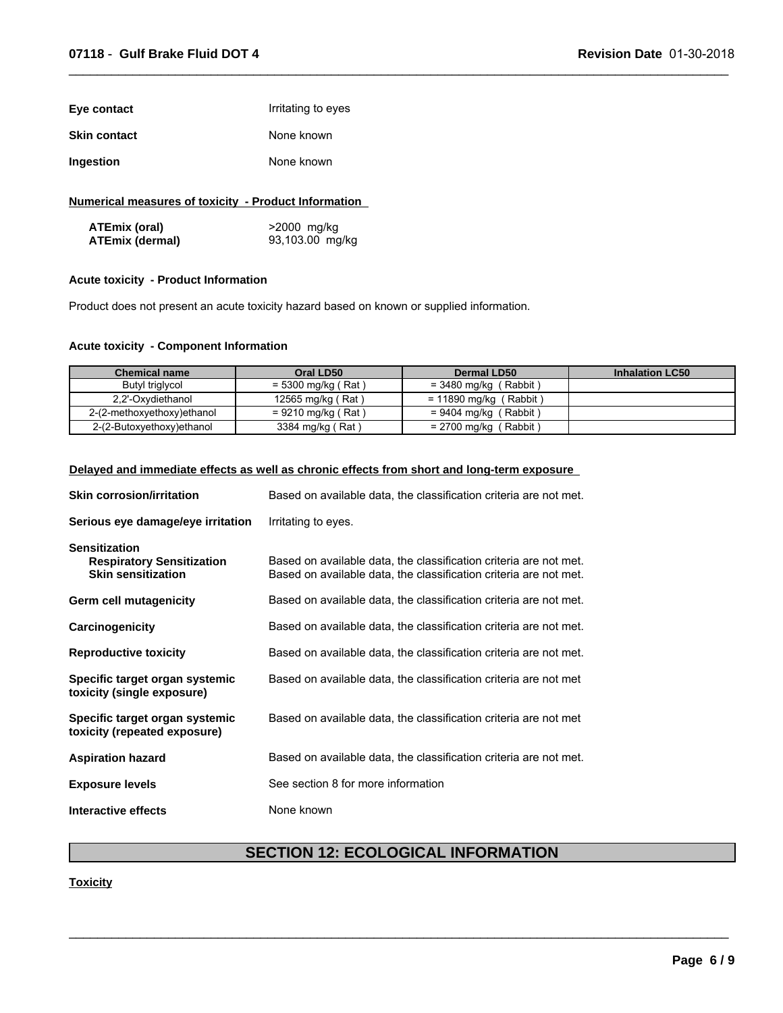| Eye contact         | Irritating to eyes |
|---------------------|--------------------|
| <b>Skin contact</b> | None known         |
| Ingestion           | None known         |

### **Numerical measures of toxicity - Product Information**

| ATEmix (oral)   | >2000 mg/kg     |
|-----------------|-----------------|
| ATEmix (dermal) | 93,103.00 mg/kg |

### **Acute toxicity - Product Information**

Product does not present an acute toxicity hazard based on known or supplied information.

### **Acute toxicity - Component Information**

| <b>Chemical name</b>       | Oral LD50            | Dermal LD50                | <b>Inhalation LC50</b> |
|----------------------------|----------------------|----------------------------|------------------------|
| Butyl triglycol            | $= 5300$ mg/kg (Rat) | $=$ 3480 mg/kg (Rabbit)    |                        |
| 2,2'-Oxydiethanol          | 12565 mg/kg (Rat)    | $= 11890$ mg/kg (Rabbit)   |                        |
| 2-(2-methoxyethoxy)ethanol | $= 9210$ mg/kg (Rat) | (Rabbit)<br>= 9404 mg/kg ( |                        |
| 2-(2-Butoxyethoxy)ethanol  | 3384 mg/kg (Rat)     | (Rabbit)<br>= 2700 mg/kg   |                        |

 $\_$  ,  $\_$  ,  $\_$  ,  $\_$  ,  $\_$  ,  $\_$  ,  $\_$  ,  $\_$  ,  $\_$  ,  $\_$  ,  $\_$  ,  $\_$  ,  $\_$  ,  $\_$  ,  $\_$  ,  $\_$  ,  $\_$  ,  $\_$  ,  $\_$  ,  $\_$  ,  $\_$  ,  $\_$  ,  $\_$  ,  $\_$  ,  $\_$  ,  $\_$  ,  $\_$  ,  $\_$  ,  $\_$  ,  $\_$  ,  $\_$  ,  $\_$  ,  $\_$  ,  $\_$  ,  $\_$  ,  $\_$  ,  $\_$  ,

### **Delayed and immediate effects as well as chronic effects from short and long-term exposure**

| <b>Skin corrosion/irritation</b>                                                      | Based on available data, the classification criteria are not met.                                                                      |
|---------------------------------------------------------------------------------------|----------------------------------------------------------------------------------------------------------------------------------------|
| Serious eye damage/eye irritation                                                     | Irritating to eyes.                                                                                                                    |
| <b>Sensitization</b><br><b>Respiratory Sensitization</b><br><b>Skin sensitization</b> | Based on available data, the classification criteria are not met.<br>Based on available data, the classification criteria are not met. |
| Germ cell mutagenicity                                                                | Based on available data, the classification criteria are not met.                                                                      |
| Carcinogenicity                                                                       | Based on available data, the classification criteria are not met.                                                                      |
| <b>Reproductive toxicity</b>                                                          | Based on available data, the classification criteria are not met.                                                                      |
| Specific target organ systemic<br>toxicity (single exposure)                          | Based on available data, the classification criteria are not met                                                                       |
| Specific target organ systemic<br>toxicity (repeated exposure)                        | Based on available data, the classification criteria are not met                                                                       |
| <b>Aspiration hazard</b>                                                              | Based on available data, the classification criteria are not met.                                                                      |
| <b>Exposure levels</b>                                                                | See section 8 for more information                                                                                                     |
| Interactive effects                                                                   | None known                                                                                                                             |

### **SECTION 12: ECOLOGICAL INFORMATION**

 $\mathcal{L}_\mathcal{L} = \{ \mathcal{L}_\mathcal{L} = \{ \mathcal{L}_\mathcal{L} = \{ \mathcal{L}_\mathcal{L} = \{ \mathcal{L}_\mathcal{L} = \{ \mathcal{L}_\mathcal{L} = \{ \mathcal{L}_\mathcal{L} = \{ \mathcal{L}_\mathcal{L} = \{ \mathcal{L}_\mathcal{L} = \{ \mathcal{L}_\mathcal{L} = \{ \mathcal{L}_\mathcal{L} = \{ \mathcal{L}_\mathcal{L} = \{ \mathcal{L}_\mathcal{L} = \{ \mathcal{L}_\mathcal{L} = \{ \mathcal{L}_\mathcal{$ 

### **Toxicity**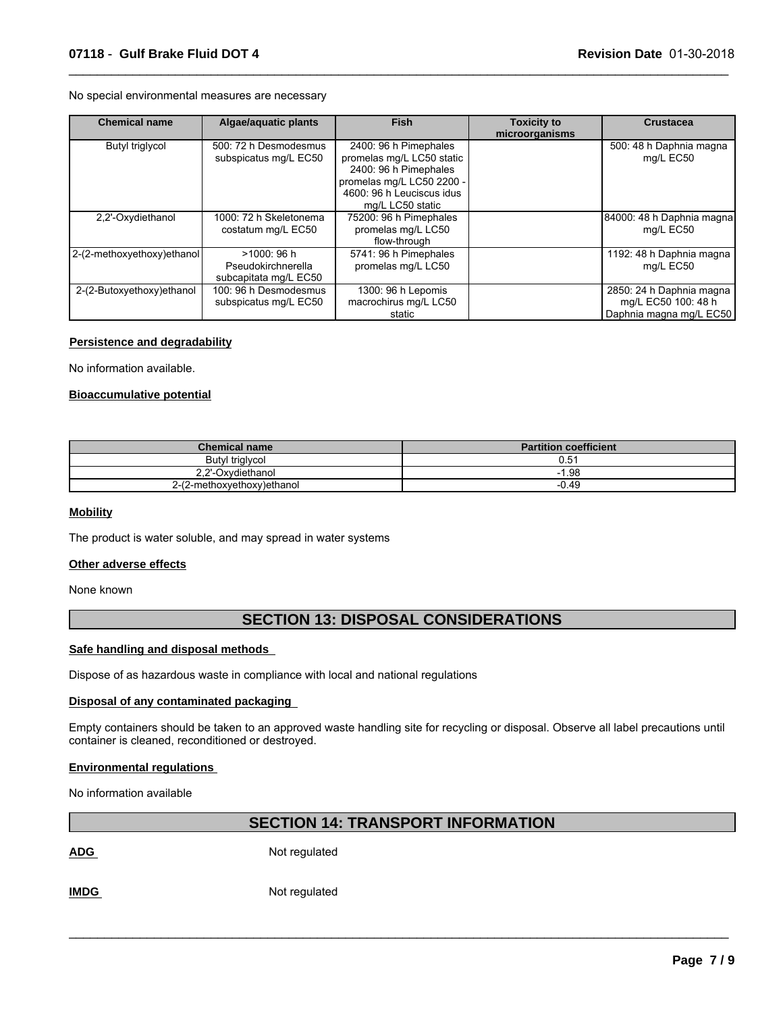No special environmental measures are necessary

| <b>Chemical name</b>       | Algae/aquatic plants                                       | <b>Fish</b>                                                                                                                                               | <b>Toxicity to</b><br>microorganisms | <b>Crustacea</b>                                                           |
|----------------------------|------------------------------------------------------------|-----------------------------------------------------------------------------------------------------------------------------------------------------------|--------------------------------------|----------------------------------------------------------------------------|
| Butyl triglycol            | 500: 72 h Desmodesmus<br>subspicatus mg/L EC50             | 2400: 96 h Pimephales<br>promelas mg/L LC50 static<br>2400: 96 h Pimephales<br>promelas mg/L LC50 2200 -<br>4600: 96 h Leuciscus idus<br>mg/L LC50 static |                                      | 500: 48 h Daphnia magna<br>mg/L EC50                                       |
| 2,2'-Oxydiethanol          | 1000: 72 h Skeletonema<br>costatum mg/L EC50               | 75200: 96 h Pimephales<br>promelas mg/L LC50<br>flow-through                                                                                              |                                      | 84000: 48 h Daphnia magna<br>mg/L EC50                                     |
| 2-(2-methoxyethoxy)ethanol | >1000: 96 h<br>Pseudokirchnerella<br>subcapitata mg/L EC50 | 5741: 96 h Pimephales<br>promelas mg/L LC50                                                                                                               |                                      | 1192: 48 h Daphnia magna<br>mg/L EC50                                      |
| 2-(2-Butoxyethoxy)ethanol  | 100: 96 h Desmodesmus<br>subspicatus mg/L EC50             | 1300: 96 h Lepomis<br>macrochirus mg/L LC50<br>static                                                                                                     |                                      | 2850: 24 h Daphnia magna<br>mg/L EC50 100: 48 h<br>Daphnia magna mg/L EC50 |

 $\_$  ,  $\_$  ,  $\_$  ,  $\_$  ,  $\_$  ,  $\_$  ,  $\_$  ,  $\_$  ,  $\_$  ,  $\_$  ,  $\_$  ,  $\_$  ,  $\_$  ,  $\_$  ,  $\_$  ,  $\_$  ,  $\_$  ,  $\_$  ,  $\_$  ,  $\_$  ,  $\_$  ,  $\_$  ,  $\_$  ,  $\_$  ,  $\_$  ,  $\_$  ,  $\_$  ,  $\_$  ,  $\_$  ,  $\_$  ,  $\_$  ,  $\_$  ,  $\_$  ,  $\_$  ,  $\_$  ,  $\_$  ,  $\_$  ,

### **Persistence and degradability**

No information available.

### **Bioaccumulative potential**

| <b>Chemical name</b>       | <b>Partition coefficient</b> |
|----------------------------|------------------------------|
| Butyl triglycol            | 0.51                         |
| 2.2'-Oxydiethanol          | .98<br>- 1                   |
| 2-(2-methoxyethoxy)ethanol | -0.49                        |

#### **Mobility**

The product is water soluble, and may spread in water systems

### **Other adverse effects**

None known

### **SECTION 13: DISPOSAL CONSIDERATIONS**

### **Safe handling and disposal methods**

Dispose of as hazardous waste in compliance with local and national regulations

#### **Disposal of any contaminated packaging**

Empty containers should be taken to an approved waste handling site for recycling or disposal. Observe all label precautions until container is cleaned, reconditioned or destroyed.

### **Environmental regulations**

No information available

### **SECTION 14: TRANSPORT INFORMATION**

 $\mathcal{L}_\mathcal{L} = \{ \mathcal{L}_\mathcal{L} = \{ \mathcal{L}_\mathcal{L} = \{ \mathcal{L}_\mathcal{L} = \{ \mathcal{L}_\mathcal{L} = \{ \mathcal{L}_\mathcal{L} = \{ \mathcal{L}_\mathcal{L} = \{ \mathcal{L}_\mathcal{L} = \{ \mathcal{L}_\mathcal{L} = \{ \mathcal{L}_\mathcal{L} = \{ \mathcal{L}_\mathcal{L} = \{ \mathcal{L}_\mathcal{L} = \{ \mathcal{L}_\mathcal{L} = \{ \mathcal{L}_\mathcal{L} = \{ \mathcal{L}_\mathcal{$ 

ADG Not regulated

**IMDG** Not regulated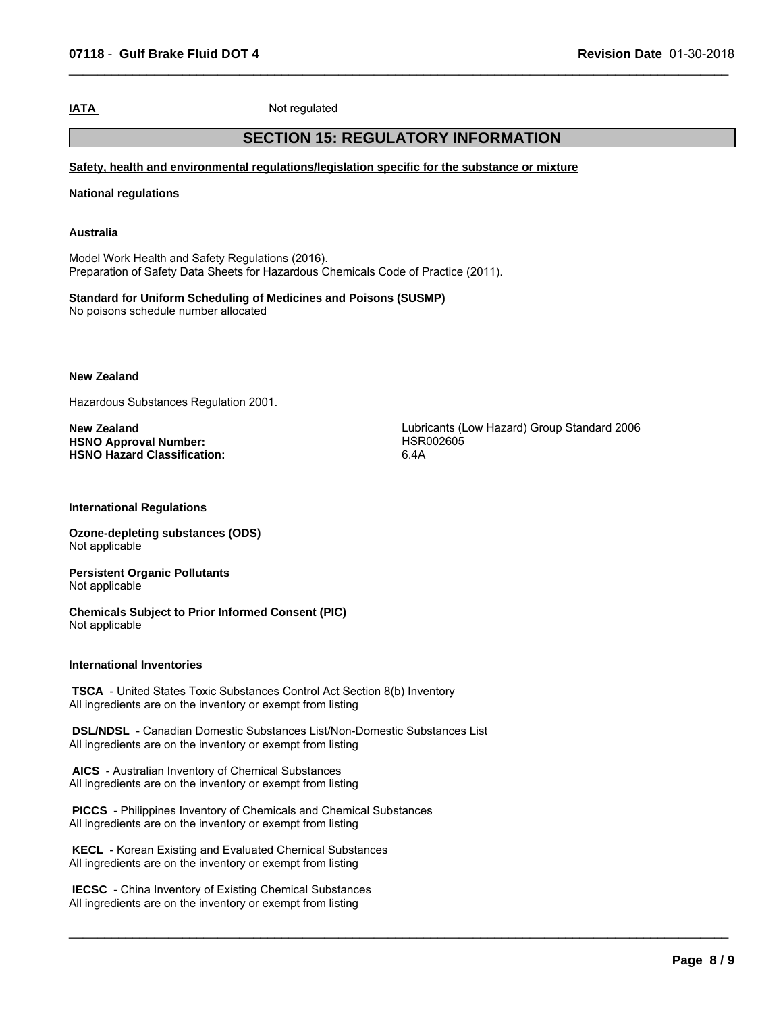**IATA** Not regulated

### **SECTION 15: REGULATORY INFORMATION**

 $\_$  ,  $\_$  ,  $\_$  ,  $\_$  ,  $\_$  ,  $\_$  ,  $\_$  ,  $\_$  ,  $\_$  ,  $\_$  ,  $\_$  ,  $\_$  ,  $\_$  ,  $\_$  ,  $\_$  ,  $\_$  ,  $\_$  ,  $\_$  ,  $\_$  ,  $\_$  ,  $\_$  ,  $\_$  ,  $\_$  ,  $\_$  ,  $\_$  ,  $\_$  ,  $\_$  ,  $\_$  ,  $\_$  ,  $\_$  ,  $\_$  ,  $\_$  ,  $\_$  ,  $\_$  ,  $\_$  ,  $\_$  ,  $\_$  ,

**Safety, health and environmental regulations/legislation specific for the substance or mixture**

**National regulations**

**Australia** 

Model Work Health and Safety Regulations (2016). Preparation of Safety Data Sheets for Hazardous Chemicals Code of Practice (2011).

**Standard for Uniform Scheduling of Medicines and Poisons (SUSMP)** No poisons schedule number allocated

**New Zealand** 

Hazardous Substances Regulation 2001.

**HSNO Approval Number: HSNO Hazard Classification:** 6.4A

**New Zealand**<br> **New Zealand**<br> **HSNO Approval Number: HSNO Approval Number: HSNO Approval Number: HSRO02605** 

 $\_$  ,  $\_$  ,  $\_$  ,  $\_$  ,  $\_$  ,  $\_$  ,  $\_$  ,  $\_$  ,  $\_$  ,  $\_$  ,  $\_$  ,  $\_$  ,  $\_$  ,  $\_$  ,  $\_$  ,  $\_$  ,  $\_$  ,  $\_$  ,  $\_$  ,  $\_$  ,  $\_$  ,  $\_$  ,  $\_$  ,  $\_$  ,  $\_$  ,  $\_$  ,  $\_$  ,  $\_$  ,  $\_$  ,  $\_$  ,  $\_$  ,  $\_$  ,  $\_$  ,  $\_$  ,  $\_$  ,  $\_$  ,  $\_$  ,

### **International Regulations**

**Ozone-depleting substances (ODS)** Not applicable

**Persistent Organic Pollutants** Not applicable

**Chemicals Subject to Prior Informed Consent (PIC)** Not applicable

### **International Inventories**

 **TSCA** - United States Toxic Substances Control Act Section 8(b) Inventory All ingredients are on the inventory or exempt from listing

 **DSL/NDSL** - Canadian Domestic Substances List/Non-Domestic Substances List All ingredients are on the inventory or exempt from listing

 **AICS** - Australian Inventory of Chemical Substances All ingredients are on the inventory or exempt from listing

 **PICCS** - Philippines Inventory of Chemicals and Chemical Substances All ingredients are on the inventory or exempt from listing

 **KECL** - Korean Existing and Evaluated Chemical Substances All ingredients are on the inventory or exempt from listing

 **IECSC** - China Inventory of Existing Chemical Substances All ingredients are on the inventory or exempt from listing